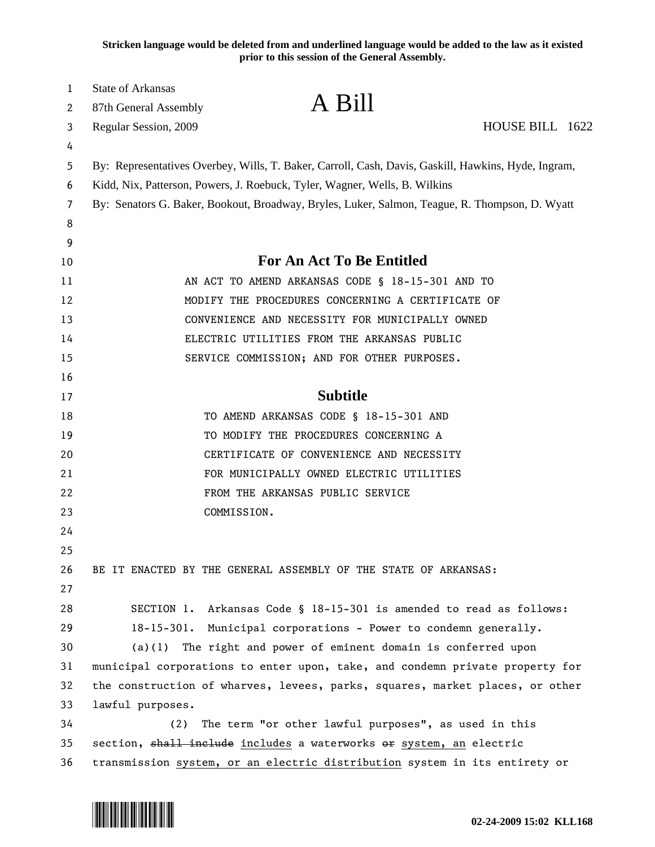**Stricken language would be deleted from and underlined language would be added to the law as it existed prior to this session of the General Assembly.**

| $\mathbf{1}$ | <b>State of Arkansas</b>                                                                                                                                                          | A Bill                                                              |                 |  |
|--------------|-----------------------------------------------------------------------------------------------------------------------------------------------------------------------------------|---------------------------------------------------------------------|-----------------|--|
| 2            | 87th General Assembly                                                                                                                                                             |                                                                     |                 |  |
| 3            | Regular Session, 2009                                                                                                                                                             |                                                                     | HOUSE BILL 1622 |  |
| 4<br>5       |                                                                                                                                                                                   |                                                                     |                 |  |
| 6            | By: Representatives Overbey, Wills, T. Baker, Carroll, Cash, Davis, Gaskill, Hawkins, Hyde, Ingram,<br>Kidd, Nix, Patterson, Powers, J. Roebuck, Tyler, Wagner, Wells, B. Wilkins |                                                                     |                 |  |
| 7            | By: Senators G. Baker, Bookout, Broadway, Bryles, Luker, Salmon, Teague, R. Thompson, D. Wyatt                                                                                    |                                                                     |                 |  |
| 8            |                                                                                                                                                                                   |                                                                     |                 |  |
| 9            |                                                                                                                                                                                   |                                                                     |                 |  |
| 10           | For An Act To Be Entitled                                                                                                                                                         |                                                                     |                 |  |
| 11           | AN ACT TO AMEND ARKANSAS CODE § 18-15-301 AND TO                                                                                                                                  |                                                                     |                 |  |
| 12           |                                                                                                                                                                                   | MODIFY THE PROCEDURES CONCERNING A CERTIFICATE OF                   |                 |  |
| 13           |                                                                                                                                                                                   | CONVENIENCE AND NECESSITY FOR MUNICIPALLY OWNED                     |                 |  |
| 14           |                                                                                                                                                                                   | ELECTRIC UTILITIES FROM THE ARKANSAS PUBLIC                         |                 |  |
| 15           |                                                                                                                                                                                   | SERVICE COMMISSION; AND FOR OTHER PURPOSES.                         |                 |  |
| 16           |                                                                                                                                                                                   |                                                                     |                 |  |
| 17           |                                                                                                                                                                                   | <b>Subtitle</b>                                                     |                 |  |
| 18           |                                                                                                                                                                                   | TO AMEND ARKANSAS CODE § 18-15-301 AND                              |                 |  |
| 19           |                                                                                                                                                                                   | TO MODIFY THE PROCEDURES CONCERNING A                               |                 |  |
| 20           |                                                                                                                                                                                   | CERTIFICATE OF CONVENIENCE AND NECESSITY                            |                 |  |
| 21           |                                                                                                                                                                                   | FOR MUNICIPALLY OWNED ELECTRIC UTILITIES                            |                 |  |
| 22           |                                                                                                                                                                                   | FROM THE ARKANSAS PUBLIC SERVICE                                    |                 |  |
| 23           | COMMISSION.                                                                                                                                                                       |                                                                     |                 |  |
| 24           |                                                                                                                                                                                   |                                                                     |                 |  |
| 25           |                                                                                                                                                                                   |                                                                     |                 |  |
| 26           | BE IT ENACTED BY THE GENERAL ASSEMBLY OF THE STATE OF ARKANSAS:                                                                                                                   |                                                                     |                 |  |
| 27           |                                                                                                                                                                                   |                                                                     |                 |  |
| 28           |                                                                                                                                                                                   | SECTION 1. Arkansas Code § 18-15-301 is amended to read as follows: |                 |  |
| 29           |                                                                                                                                                                                   | 18-15-301. Municipal corporations - Power to condemn generally.     |                 |  |
| 30           |                                                                                                                                                                                   | $(a)(1)$ The right and power of eminent domain is conferred upon    |                 |  |
| 31           | municipal corporations to enter upon, take, and condemn private property for                                                                                                      |                                                                     |                 |  |
| 32           | the construction of wharves, levees, parks, squares, market places, or other                                                                                                      |                                                                     |                 |  |
| 33           | lawful purposes.                                                                                                                                                                  |                                                                     |                 |  |
| 34           | The term "or other lawful purposes", as used in this<br>(2)                                                                                                                       |                                                                     |                 |  |
| 35           | section, shall include includes a waterworks or system, an electric                                                                                                               |                                                                     |                 |  |
| 36           | transmission system, or an electric distribution system in its entirety or                                                                                                        |                                                                     |                 |  |

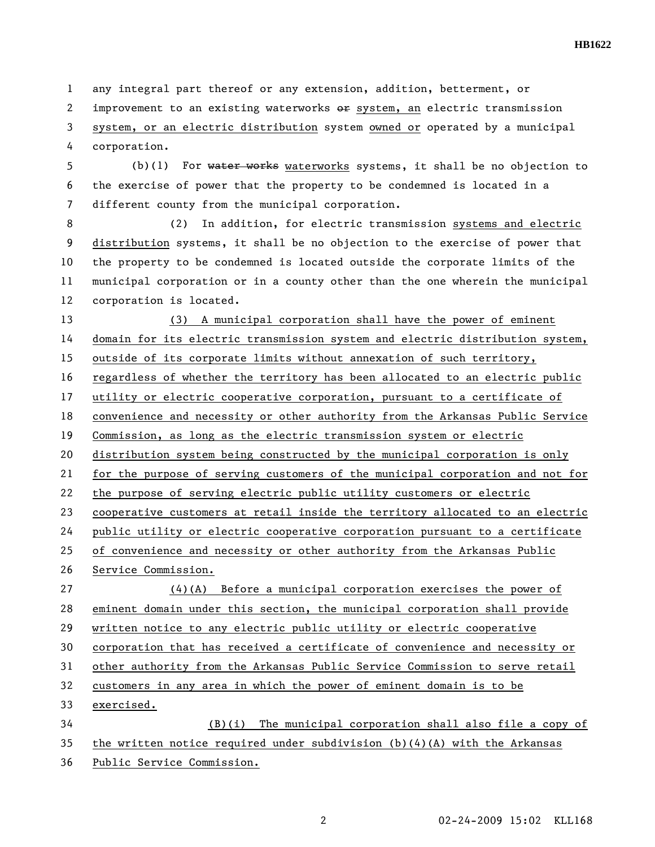**HB1622** 

1 any integral part thereof or any extension, addition, betterment, or 2 improvement to an existing waterworks  $e$  ar system, an electric transmission

3 system, or an electric distribution system owned or operated by a municipal 4 corporation.

5 (b)(1) For water works waterworks systems, it shall be no objection to 6 the exercise of power that the property to be condemned is located in a 7 different county from the municipal corporation.

8 (2) In addition, for electric transmission systems and electric 9 distribution systems, it shall be no objection to the exercise of power that 10 the property to be condemned is located outside the corporate limits of the 11 municipal corporation or in a county other than the one wherein the municipal 12 corporation is located.

13 (3) A municipal corporation shall have the power of eminent 14 domain for its electric transmission system and electric distribution system,

15 outside of its corporate limits without annexation of such territory,

16 regardless of whether the territory has been allocated to an electric public

17 utility or electric cooperative corporation, pursuant to a certificate of

18 convenience and necessity or other authority from the Arkansas Public Service

19 Commission, as long as the electric transmission system or electric

20 distribution system being constructed by the municipal corporation is only

21 for the purpose of serving customers of the municipal corporation and not for

22 the purpose of serving electric public utility customers or electric

23 cooperative customers at retail inside the territory allocated to an electric

24 public utility or electric cooperative corporation pursuant to a certificate

25 of convenience and necessity or other authority from the Arkansas Public

26 Service Commission.

27 (4)(A) Before a municipal corporation exercises the power of 28 eminent domain under this section, the municipal corporation shall provide 29 written notice to any electric public utility or electric cooperative 30 corporation that has received a certificate of convenience and necessity or 31 other authority from the Arkansas Public Service Commission to serve retail 32 customers in any area in which the power of eminent domain is to be 33 exercised.

34 (B)(i) The municipal corporation shall also file a copy of

35 the written notice required under subdivision  $(b)(4)(A)$  with the Arkansas

36 Public Service Commission.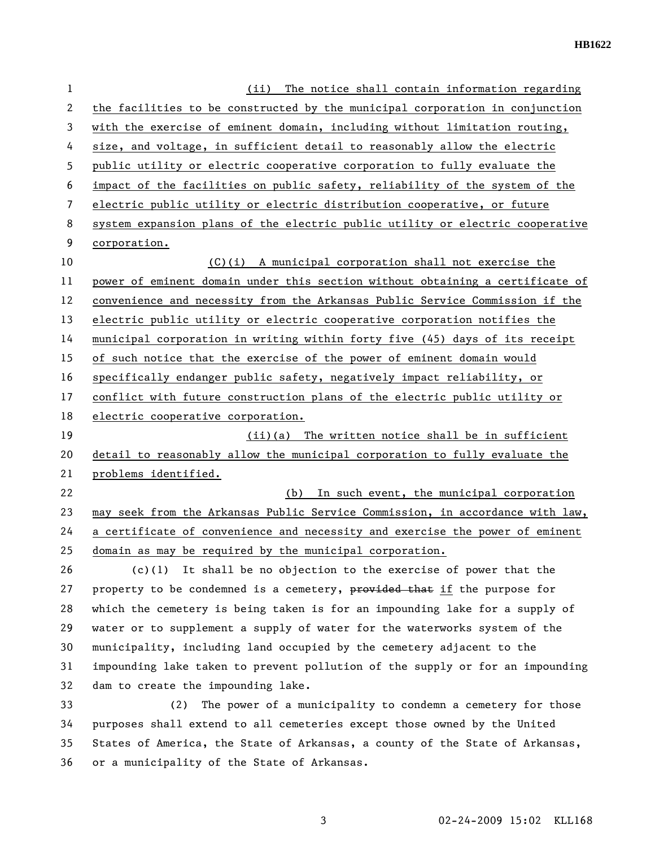**HB1622** 

| $\mathbf{1}$ | The notice shall contain information regarding<br>(ii)                        |  |  |
|--------------|-------------------------------------------------------------------------------|--|--|
| 2            | the facilities to be constructed by the municipal corporation in conjunction  |  |  |
| 3            | with the exercise of eminent domain, including without limitation routing,    |  |  |
| 4            | size, and voltage, in sufficient detail to reasonably allow the electric      |  |  |
| 5            | public utility or electric cooperative corporation to fully evaluate the      |  |  |
| 6            | impact of the facilities on public safety, reliability of the system of the   |  |  |
| 7            | electric public utility or electric distribution cooperative, or future       |  |  |
| 8            | system expansion plans of the electric public utility or electric cooperative |  |  |
| 9            | corporation.                                                                  |  |  |
| 10           | (C)(i) A municipal corporation shall not exercise the                         |  |  |
| 11           | power of eminent domain under this section without obtaining a certificate of |  |  |
| 12           | convenience and necessity from the Arkansas Public Service Commission if the  |  |  |
| 13           | electric public utility or electric cooperative corporation notifies the      |  |  |
| 14           | municipal corporation in writing within forty five (45) days of its receipt   |  |  |
| 15           | of such notice that the exercise of the power of eminent domain would         |  |  |
| 16           | specifically endanger public safety, negatively impact reliability, or        |  |  |
| 17           | conflict with future construction plans of the electric public utility or     |  |  |
| 18           | electric cooperative corporation.                                             |  |  |
| 19           | $(ii)(a)$ The written notice shall be in sufficient                           |  |  |
| 20           | detail to reasonably allow the municipal corporation to fully evaluate the    |  |  |
| 21           | problems identified.                                                          |  |  |
| 22           | In such event, the municipal corporation<br>(b)                               |  |  |
| 23           | may seek from the Arkansas Public Service Commission, in accordance with law, |  |  |
| 24           | a certificate of convenience and necessity and exercise the power of eminent  |  |  |
| 25           | domain as may be required by the municipal corporation.                       |  |  |
| 26           | $(c)(1)$ It shall be no objection to the exercise of power that the           |  |  |
| 27           | property to be condemned is a cemetery, provided that if the purpose for      |  |  |
| 28           | which the cemetery is being taken is for an impounding lake for a supply of   |  |  |
| 29           | water or to supplement a supply of water for the waterworks system of the     |  |  |
| 30           | municipality, including land occupied by the cemetery adjacent to the         |  |  |
| 31           | impounding lake taken to prevent pollution of the supply or for an impounding |  |  |
| 32           | dam to create the impounding lake.                                            |  |  |
| 33           | The power of a municipality to condemn a cemetery for those<br>(2)            |  |  |
| 34           | purposes shall extend to all cemeteries except those owned by the United      |  |  |
| 35           | States of America, the State of Arkansas, a county of the State of Arkansas,  |  |  |
| 36           | or a municipality of the State of Arkansas.                                   |  |  |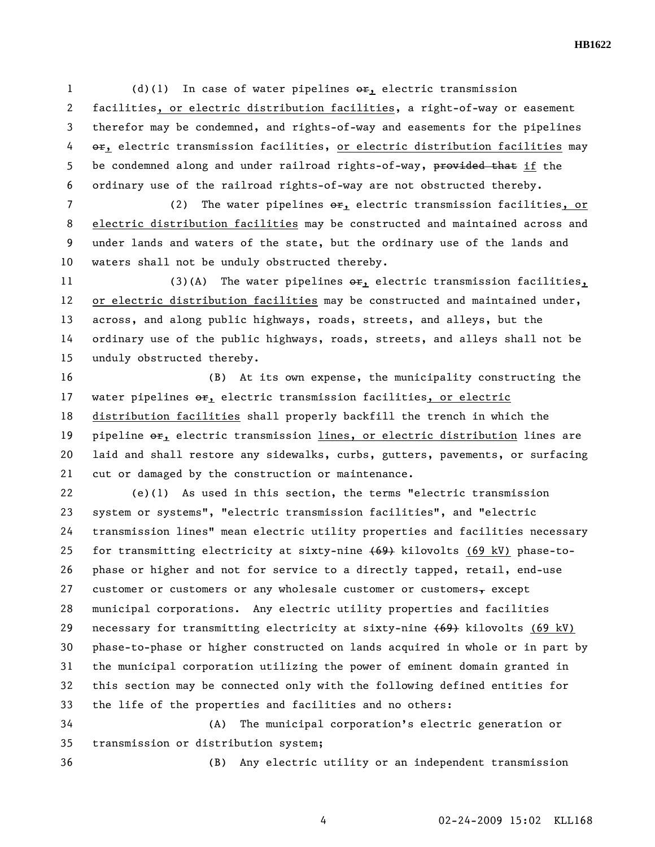1 (d)(1) In case of water pipelines  $e^{i\phi}$ , electric transmission 2 facilities, or electric distribution facilities, a right-of-way or easement 3 therefor may be condemned, and rights-of-way and easements for the pipelines 4 or, electric transmission facilities, or electric distribution facilities may 5 be condemned along and under railroad rights-of-way, provided that if the 6 ordinary use of the railroad rights-of-way are not obstructed thereby.

7 (2) The water pipelines  $\theta$ <sub>1</sub> electric transmission facilities, or 8 electric distribution facilities may be constructed and maintained across and 9 under lands and waters of the state, but the ordinary use of the lands and 10 waters shall not be unduly obstructed thereby.

11 (3)(A) The water pipelines  $e^{i\phi}$ , electric transmission facilities, 12 or electric distribution facilities may be constructed and maintained under, 13 across, and along public highways, roads, streets, and alleys, but the 14 ordinary use of the public highways, roads, streets, and alleys shall not be 15 unduly obstructed thereby.

16 (B) At its own expense, the municipality constructing the 17 water pipelines  $\Theta$ r, electric transmission facilities, or electric 18 distribution facilities shall properly backfill the trench in which the 19 pipeline  $er_1$  electric transmission lines, or electric distribution lines are 20 laid and shall restore any sidewalks, curbs, gutters, pavements, or surfacing 21 cut or damaged by the construction or maintenance.

22 (e)(1) As used in this section, the terms "electric transmission 23 system or systems", "electric transmission facilities", and "electric 24 transmission lines" mean electric utility properties and facilities necessary 25 for transmitting electricity at sixty-nine (69) kilovolts (69 kV) phase-to-26 phase or higher and not for service to a directly tapped, retail, end-use 27 customer or customers or any wholesale customer or customers, except 28 municipal corporations. Any electric utility properties and facilities 29 necessary for transmitting electricity at sixty-nine (69) kilovolts (69 kV) 30 phase-to-phase or higher constructed on lands acquired in whole or in part by 31 the municipal corporation utilizing the power of eminent domain granted in 32 this section may be connected only with the following defined entities for 33 the life of the properties and facilities and no others:

34 (A) The municipal corporation's electric generation or 35 transmission or distribution system;

36 (B) Any electric utility or an independent transmission